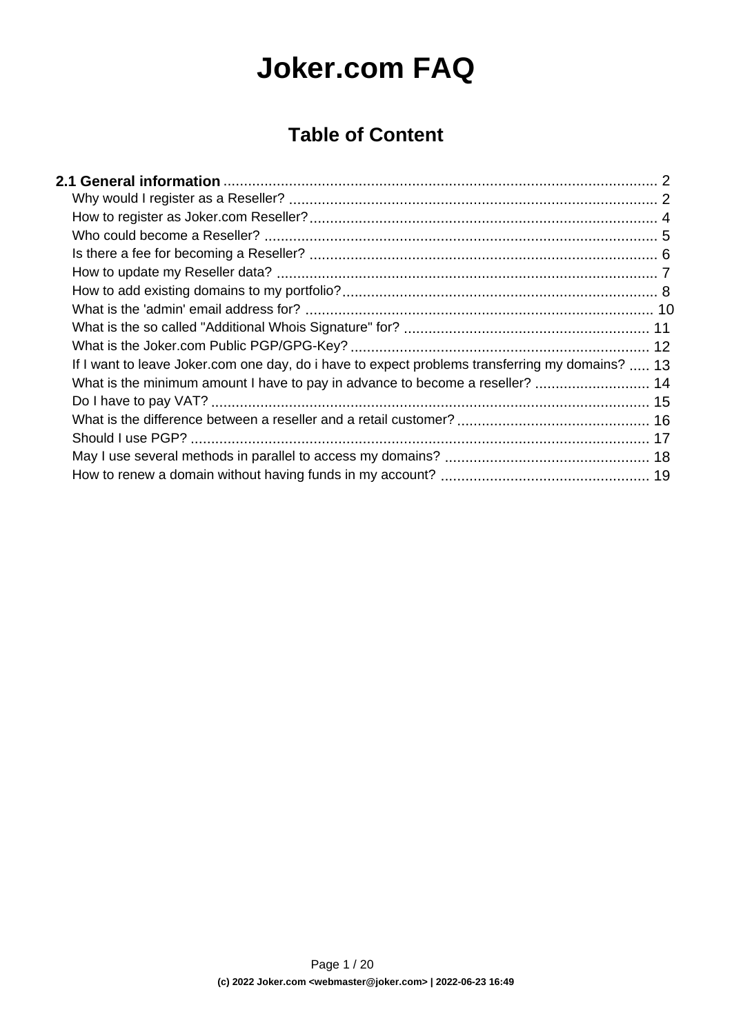# **Joker.com FAQ**

#### **Table of Content**

| If I want to leave Joker.com one day, do i have to expect problems transferring my domains?  13 |  |
|-------------------------------------------------------------------------------------------------|--|
| What is the minimum amount I have to pay in advance to become a reseller?  14                   |  |
|                                                                                                 |  |
|                                                                                                 |  |
|                                                                                                 |  |
|                                                                                                 |  |
|                                                                                                 |  |
|                                                                                                 |  |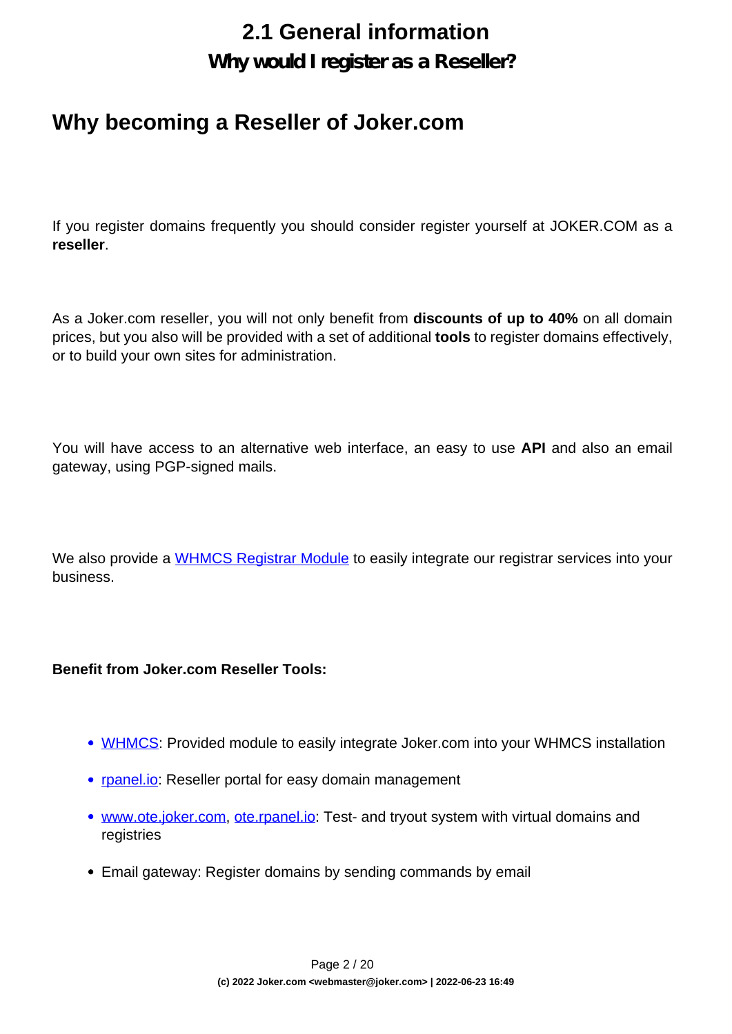**Why would I register as a Reseller?**

#### <span id="page-1-0"></span>**Why becoming a Reseller of Joker.com**

If you register domains frequently you should consider register yourself at JOKER.COM as a **reseller**.

As a Joker.com reseller, you will not only benefit from **discounts of up to 40%** on all domain prices, but you also will be provided with a set of additional **tools** to register domains effectively, or to build your own sites for administration.

You will have access to an alternative web interface, an easy to use **API** and also an email gateway, using PGP-signed mails.

We also provide a [WHMCS Registrar Module](index.php?action=artikel&cat=84&id=488&artlang=en) to easily integrate our registrar services into your business.

#### **Benefit from Joker.com Reseller Tools:**

- [WHMCS](index.php?action=artikel&cat=84&id=488&artlang=en): Provided module to easily integrate Joker.com into your WHMCS installation
- [rpanel.io:](https://rpanel.io/) Reseller portal for easy domain management
- [www.ote.joker.com,](https://www.ote.joker.com) [ote.rpanel.io:](https://ote.rpanel.io) Test- and tryout system with virtual domains and registries
- Email gateway: Register domains by sending commands by email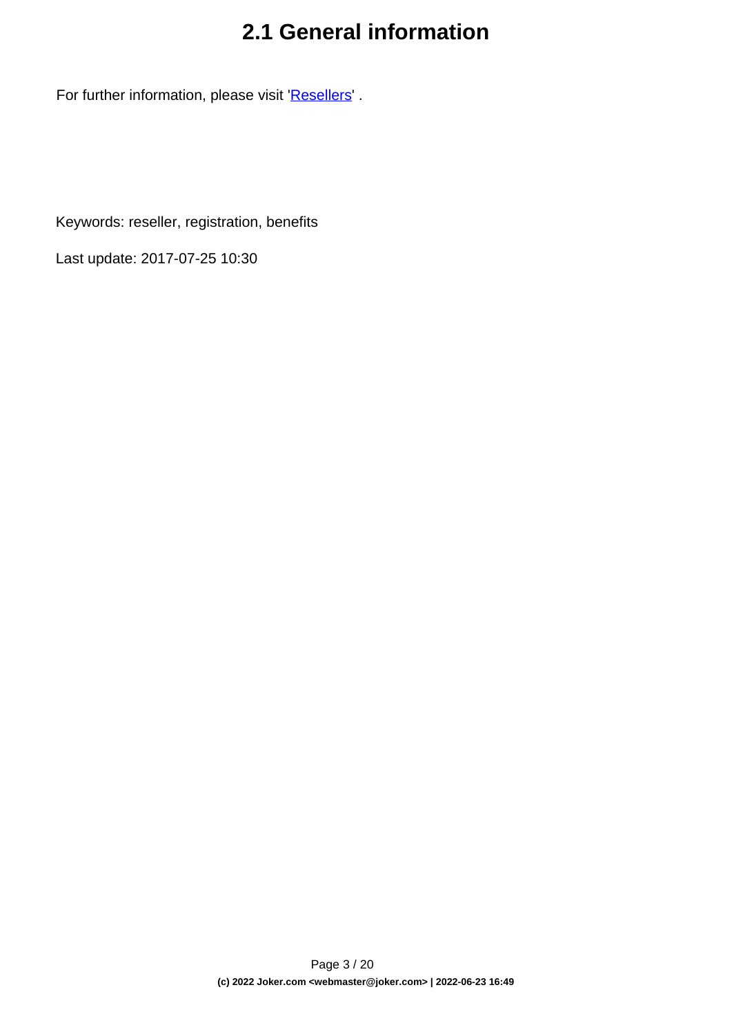For further information, please visit '[Resellers](/goto/2bres)' .

Keywords: reseller, registration, benefits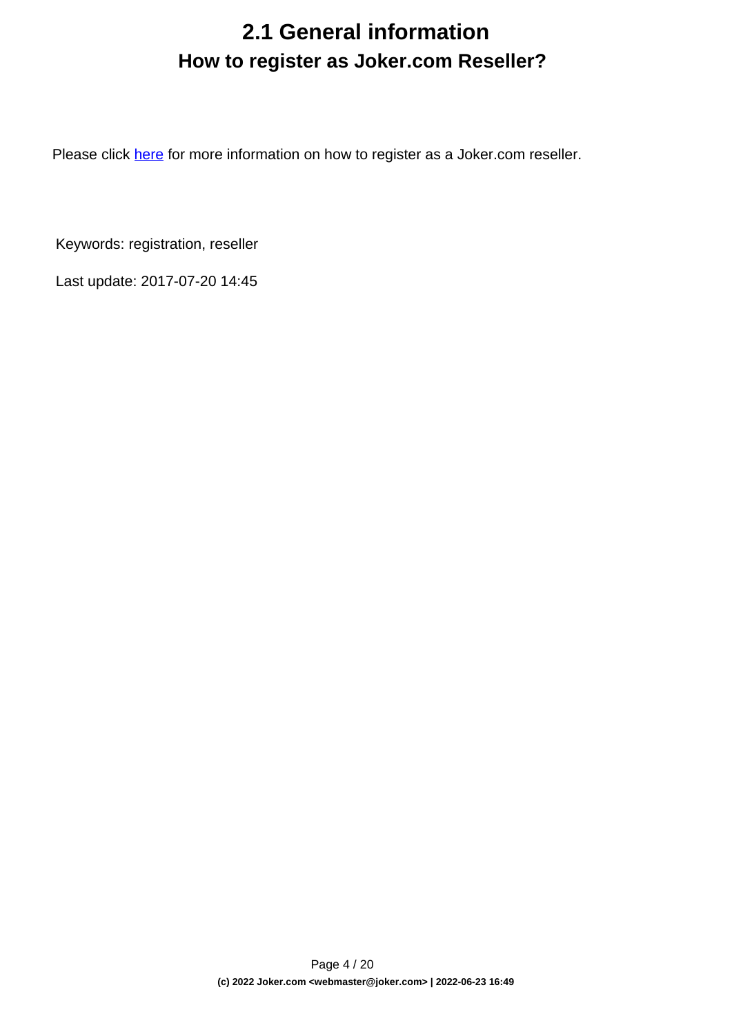## **2.1 General information How to register as Joker.com Reseller?**

<span id="page-3-0"></span>Please click [here](https://joker.com/goto/resreg) for more information on how to register as a Joker.com reseller.

Keywords: registration, reseller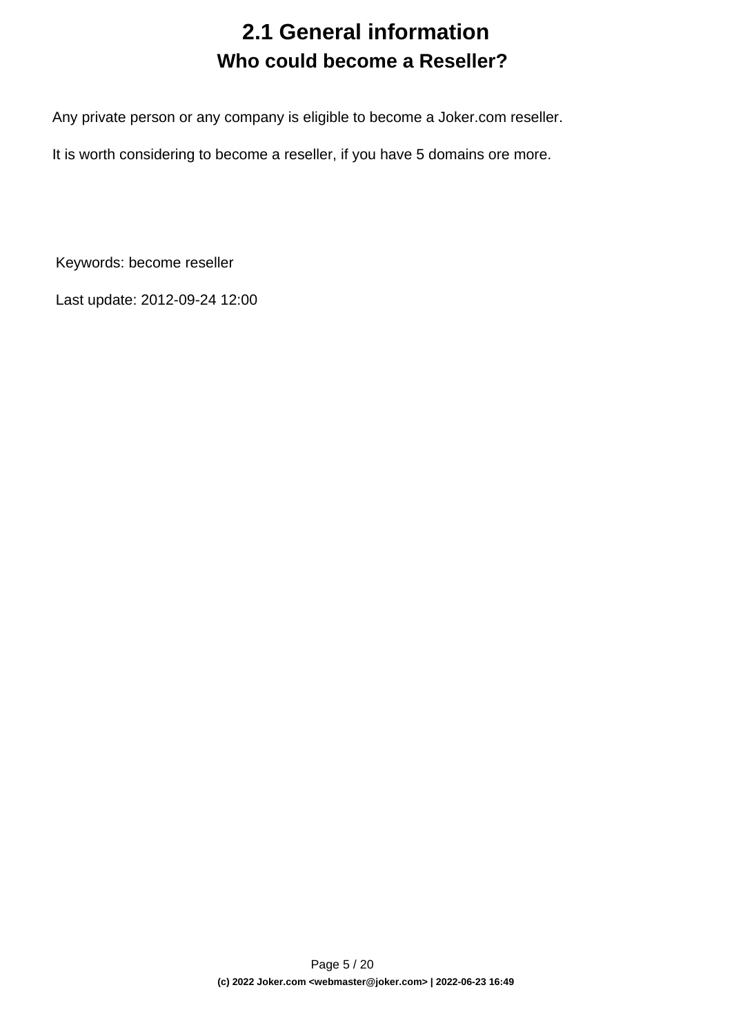## **2.1 General information Who could become a Reseller?**

<span id="page-4-0"></span>Any private person or any company is eligible to become a Joker.com reseller.

It is worth considering to become a reseller, if you have 5 domains ore more.

Keywords: become reseller

Last update: 2012-09-24 12:00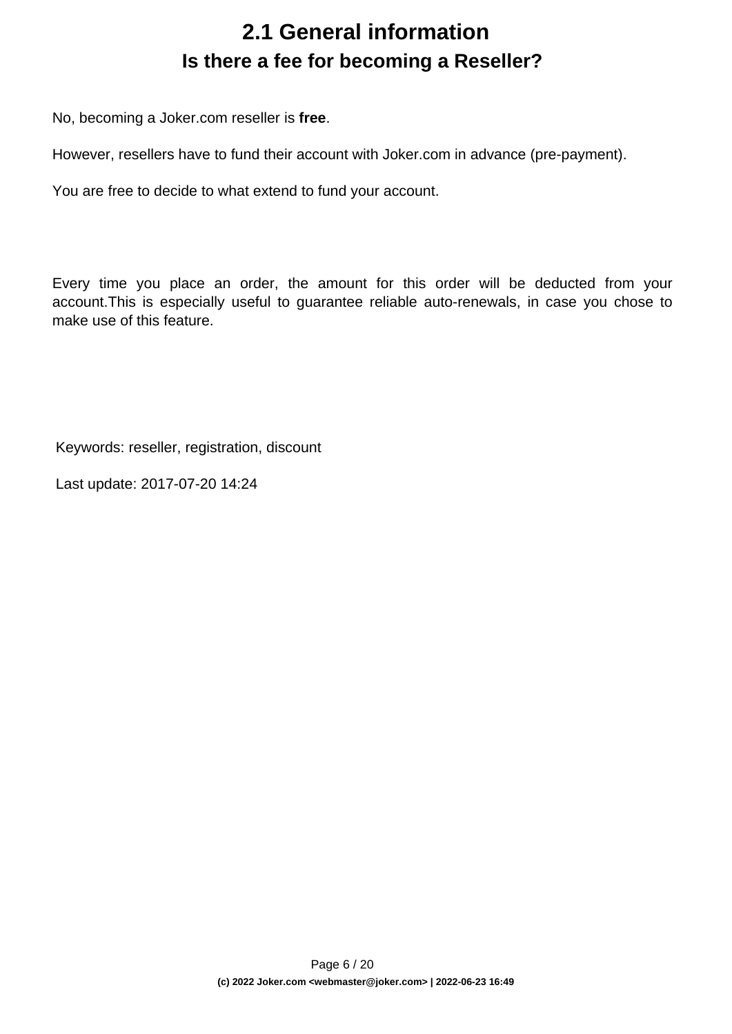## **2.1 General information Is there a fee for becoming a Reseller?**

<span id="page-5-0"></span>No, becoming a Joker.com reseller is **free**.

However, resellers have to fund their account with Joker.com in advance (pre-payment).

You are free to decide to what extend to fund your account.

Every time you place an order, the amount for this order will be deducted from your account.This is especially useful to guarantee reliable auto-renewals, in case you chose to make use of this feature.

Keywords: reseller, registration, discount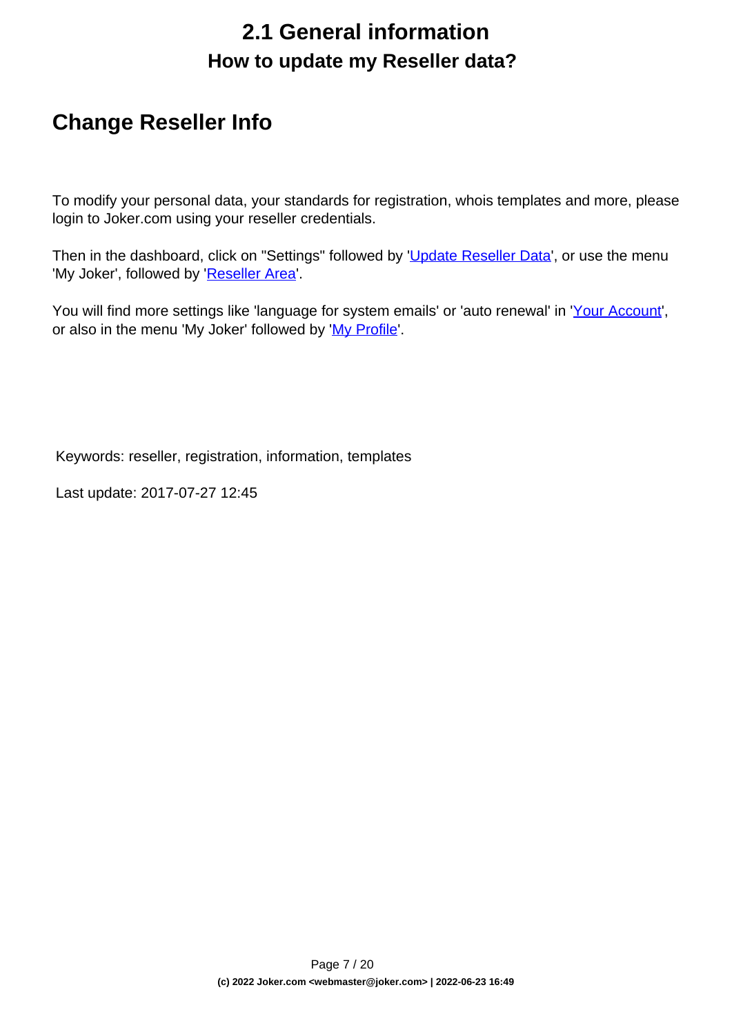## **2.1 General information How to update my Reseller data?**

#### <span id="page-6-0"></span>**Change Reseller Info**

To modify your personal data, your standards for registration, whois templates and more, please login to Joker.com using your reseller credentials.

Then in the dashboard, click on "Settings" followed by '[Update Reseller Data](/goto/resprefs)', or use the menu 'My Joker', followed by '[Reseller Area](/goto/resprefs)'.

You will find more settings like 'language for system emails' or 'auto renewal' in '[Your Account](/goto/myjoker)', or also in the menu 'My Joker' followed by '[My Profile](/goto/myjoker)'.

Keywords: reseller, registration, information, templates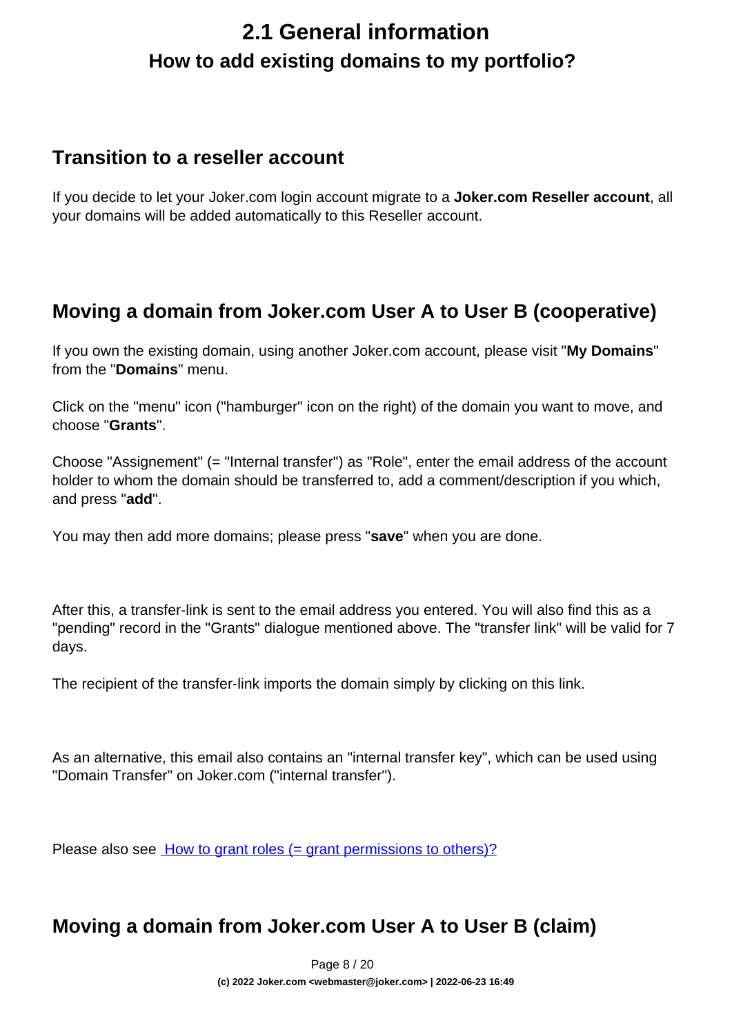## <span id="page-7-0"></span>**2.1 General information How to add existing domains to my portfolio?**

#### **Transition to a reseller account**

If you decide to let your Joker.com login account migrate to a **Joker.com Reseller account**, all your domains will be added automatically to this Reseller account.

#### **Moving a domain from Joker.com User A to User B (cooperative)**

If you own the existing domain, using another Joker.com account, please visit "**My Domains**" from the "**Domains**" menu.

Click on the "menu" icon ("hamburger" icon on the right) of the domain you want to move, and choose "**Grants**".

Choose "Assignement" (= "Internal transfer") as "Role", enter the email address of the account holder to whom the domain should be transferred to, add a comment/description if you which, and press "**add**".

You may then add more domains; please press "**save**" when you are done.

After this, a transfer-link is sent to the email address you entered. You will also find this as a "pending" record in the "Grants" dialogue mentioned above. The "transfer link" will be valid for 7 days.

The recipient of the transfer-link imports the domain simply by clicking on this link.

As an alternative, this email also contains an "internal transfer key", which can be used using "Domain Transfer" on Joker.com ("internal transfer").

Please also see **[How to grant roles \(= grant permissions to others\)?](index.php?action=artikel&cat=5&id=446&artlang=en)** 

#### **Moving a domain from Joker.com User A to User B (claim)**

Page 8 / 20 **(c) 2022 Joker.com <webmaster@joker.com> | 2022-06-23 16:49**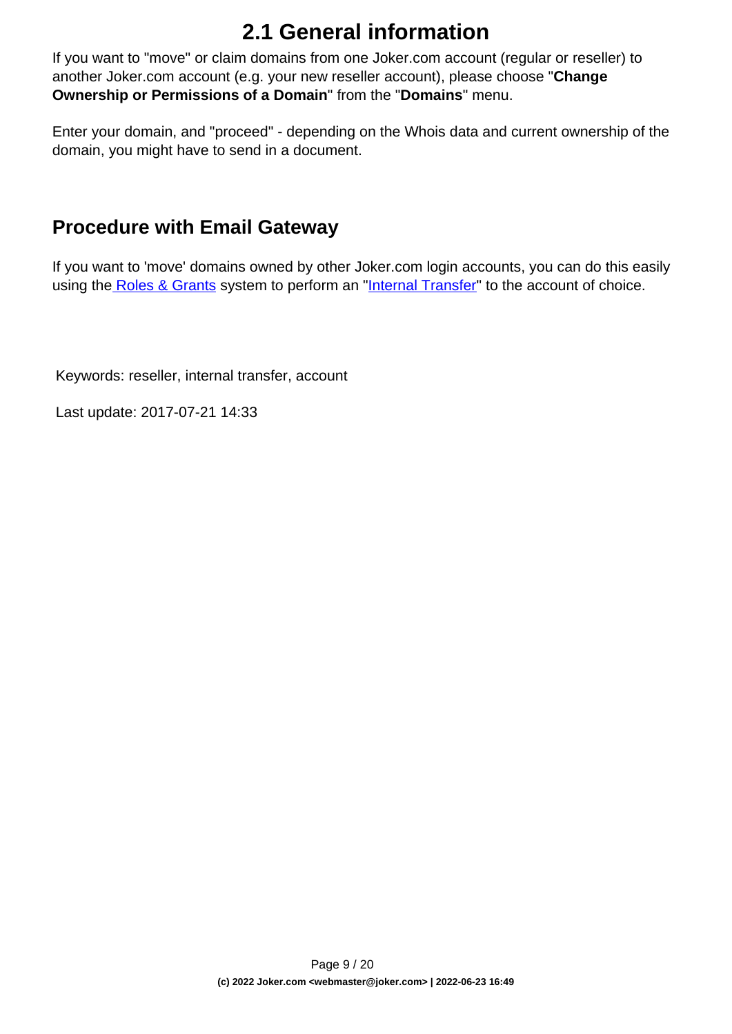If you want to "move" or claim domains from one Joker.com account (regular or reseller) to another Joker.com account (e.g. your new reseller account), please choose "**Change Ownership or Permissions of a Domain**" from the "**Domains**" menu.

Enter your domain, and "proceed" - depending on the Whois data and current ownership of the domain, you might have to send in a document.

#### **Procedure with Email Gateway**

If you want to 'move' domains owned by other Joker.com login accounts, you can do this easily using th[e Roles & Grants](index.php?action=artikel&cat=69&id=456&artlang=en) system to perform an "[Internal Transfer"](index.php?action=artikel&cat=69&id=456&artlang=en) to the account of choice.

Keywords: reseller, internal transfer, account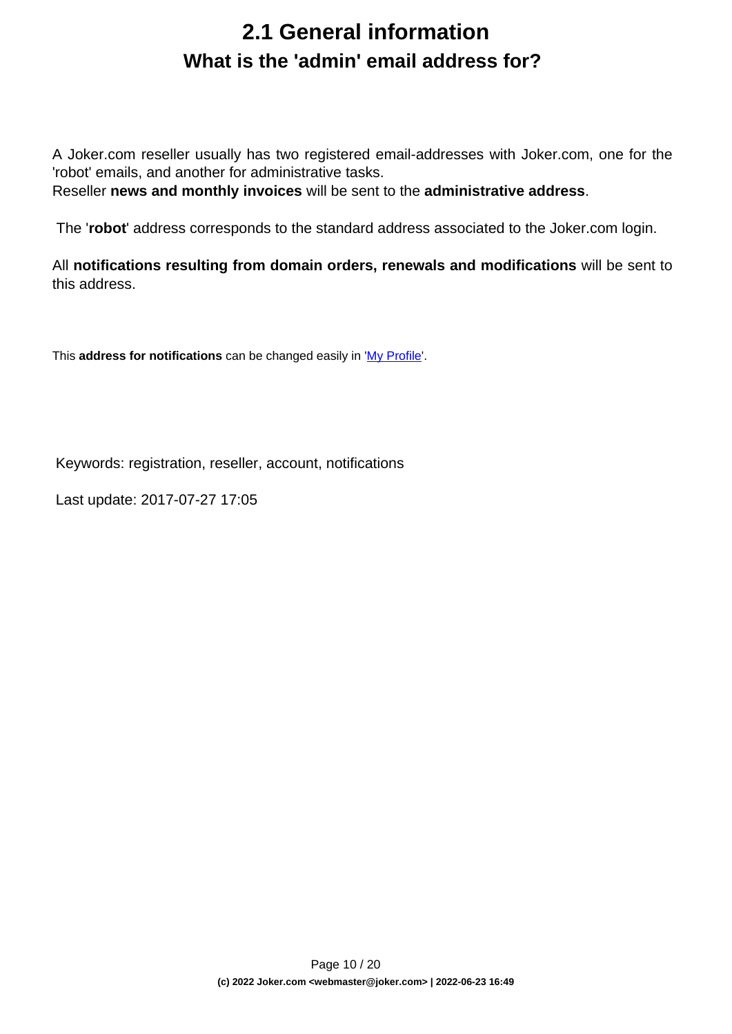#### **2.1 General information What is the 'admin' email address for?**

<span id="page-9-0"></span>A Joker.com reseller usually has two registered email-addresses with Joker.com, one for the 'robot' emails, and another for administrative tasks.

Reseller **news and monthly invoices** will be sent to the **administrative address**.

The '**robot**' address corresponds to the standard address associated to the Joker.com login.

All **notifications resulting from domain orders, renewals and modifications** will be sent to this address.

This **address for notifications** can be changed easily in '[My Profile](/goto/myjoker)'.

Keywords: registration, reseller, account, notifications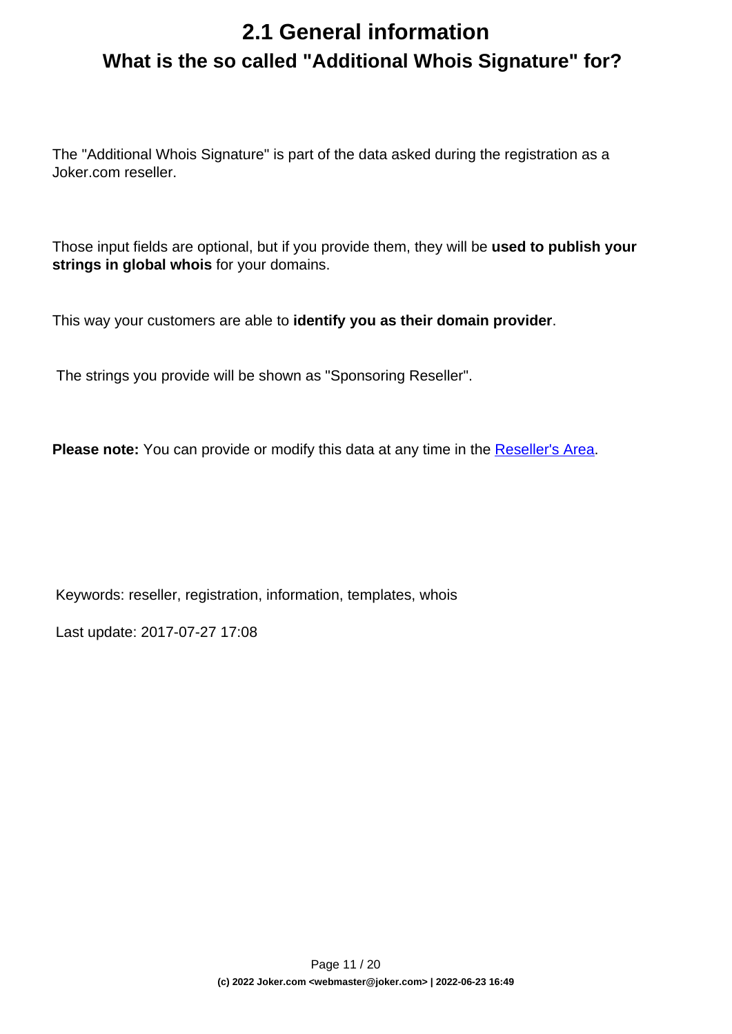## <span id="page-10-0"></span>**2.1 General information What is the so called "Additional Whois Signature" for?**

The "Additional Whois Signature" is part of the data asked during the registration as a Joker.com reseller.

Those input fields are optional, but if you provide them, they will be **used to publish your strings in global whois** for your domains.

This way your customers are able to **identify you as their domain provider**.

The strings you provide will be shown as "Sponsoring Reseller".

**Please note:** You can provide or modify this data at any time in the [Reseller's Area.](/goto/resprefs)

Keywords: reseller, registration, information, templates, whois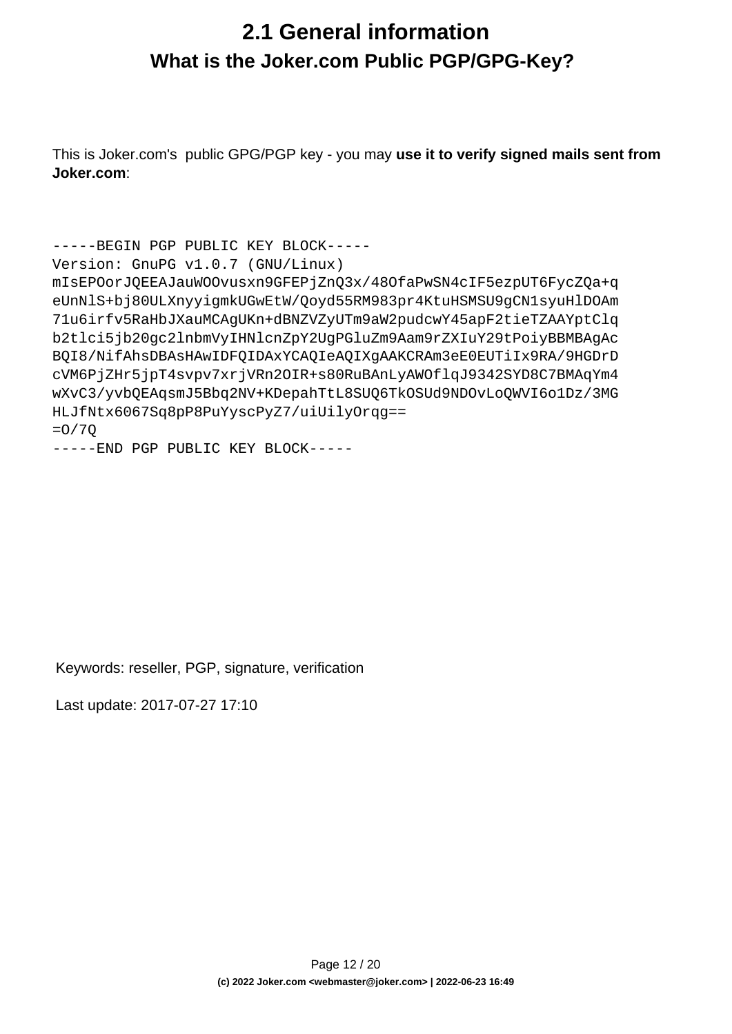#### <span id="page-11-0"></span>**2.1 General information What is the Joker.com Public PGP/GPG-Key?**

This is Joker.com's public GPG/PGP key - you may **use it to verify signed mails sent from Joker.com**:

```
-----BEGIN PGP PUBLIC KEY BLOCK-----
Version: GnuPG v1.0.7 (GNU/Linux)
mIsEPOorJQEEAJauWOOvusxn9GFEPjZnQ3x/48OfaPwSN4cIF5ezpUT6FycZQa+q
eUnNlS+bj80ULXnyyigmkUGwEtW/Qoyd55RM983pr4KtuHSMSU9gCN1syuHlDOAm
71u6irfv5RaHbJXauMCAgUKn+dBNZVZyUTm9aW2pudcwY45apF2tieTZAAYptClq
b2tlci5jb20gc2lnbmVyIHNlcnZpY2UgPGluZm9Aam9rZXIuY29tPoiyBBMBAgAc
BQI8/NifAhsDBAsHAwIDFQIDAxYCAQIeAQIXgAAKCRAm3eE0EUTiIx9RA/9HGDrD
cVM6PjZHr5jpT4svpv7xrjVRn2OIR+s80RuBAnLyAWOflqJ9342SYD8C7BMAqYm4
wXvC3/yvbQEAqsmJ5Bbq2NV+KDepahTtL8SUQ6TkOSUd9NDOvLoQWVI6o1Dz/3MG
HLJfNtx6067Sq8pP8PuYyscPyZ7/uiUilyOrqg==
=O/7Q
```

```
-----END PGP PUBLIC KEY BLOCK-----
```
Keywords: reseller, PGP, signature, verification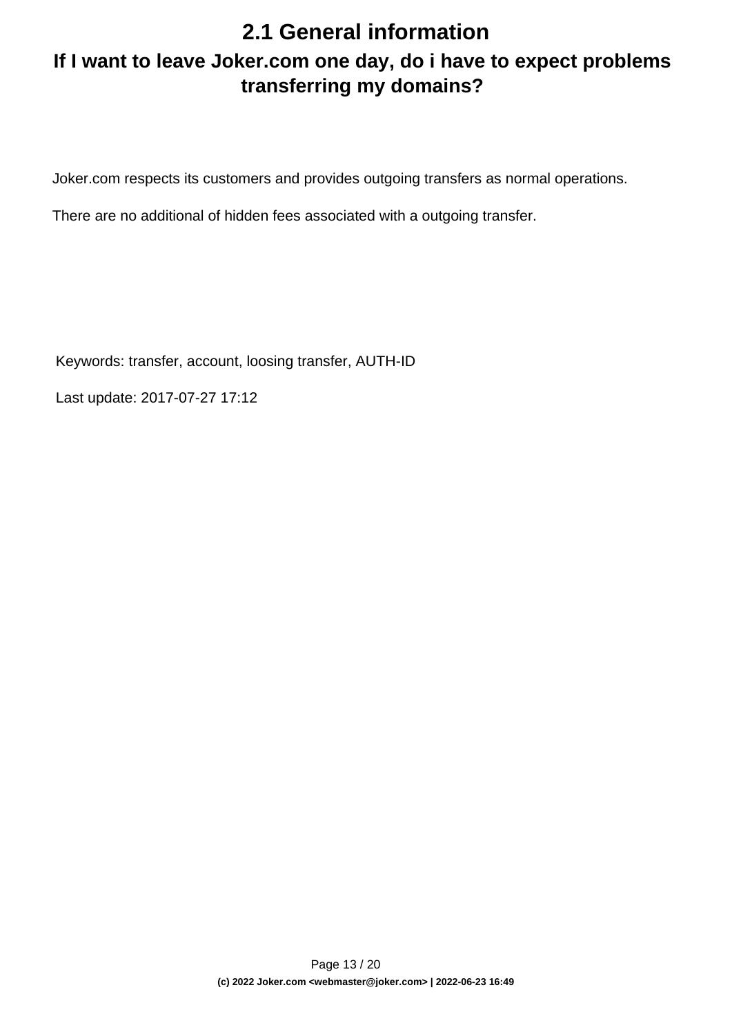#### <span id="page-12-0"></span>**If I want to leave Joker.com one day, do i have to expect problems transferring my domains?**

Joker.com respects its customers and provides outgoing transfers as normal operations.

There are no additional of hidden fees associated with a outgoing transfer.

Keywords: transfer, account, loosing transfer, AUTH-ID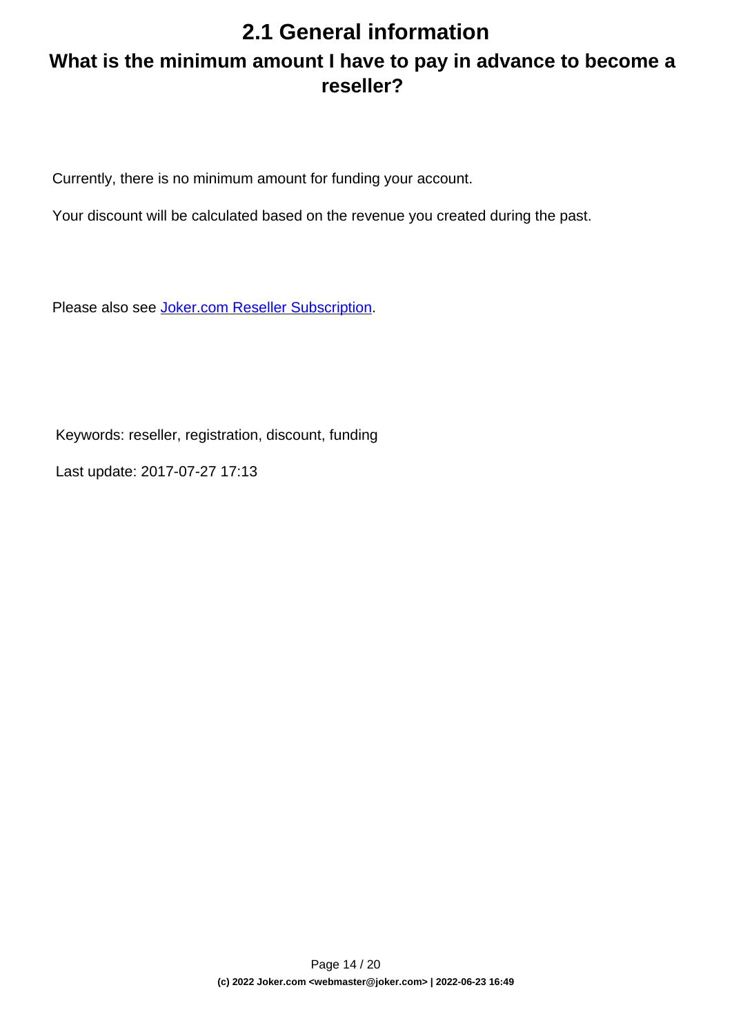#### <span id="page-13-0"></span>**2.1 General information What is the minimum amount I have to pay in advance to become a reseller?**

Currently, there is no minimum amount for funding your account.

Your discount will be calculated based on the revenue you created during the past.

Please also see [Joker.com Reseller Subscription.](../goto/resreg)

Keywords: reseller, registration, discount, funding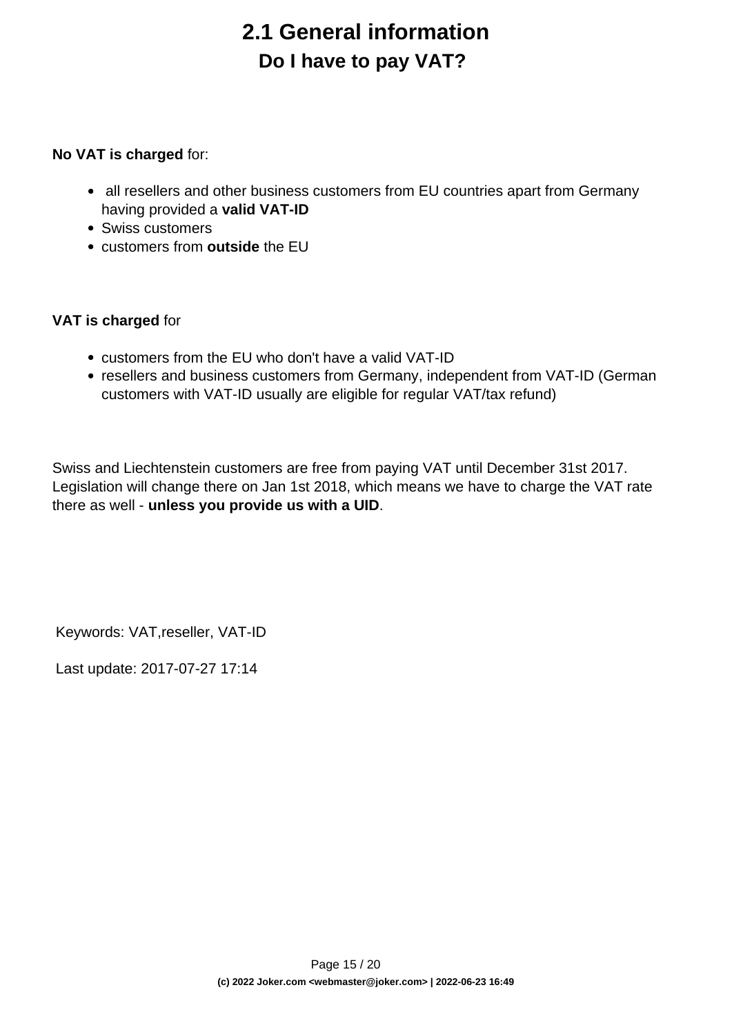## **2.1 General information Do I have to pay VAT?**

#### <span id="page-14-0"></span>**No VAT is charged** for:

- all resellers and other business customers from EU countries apart from Germany having provided a **valid VAT-ID**
- Swiss customers
- customers from **outside** the EU

#### **VAT is charged** for

- customers from the EU who don't have a valid VAT-ID
- resellers and business customers from Germany, independent from VAT-ID (German customers with VAT-ID usually are eligible for regular VAT/tax refund)

Swiss and Liechtenstein customers are free from paying VAT until December 31st 2017. Legislation will change there on Jan 1st 2018, which means we have to charge the VAT rate there as well - **unless you provide us with a UID**.

Keywords: VAT,reseller, VAT-ID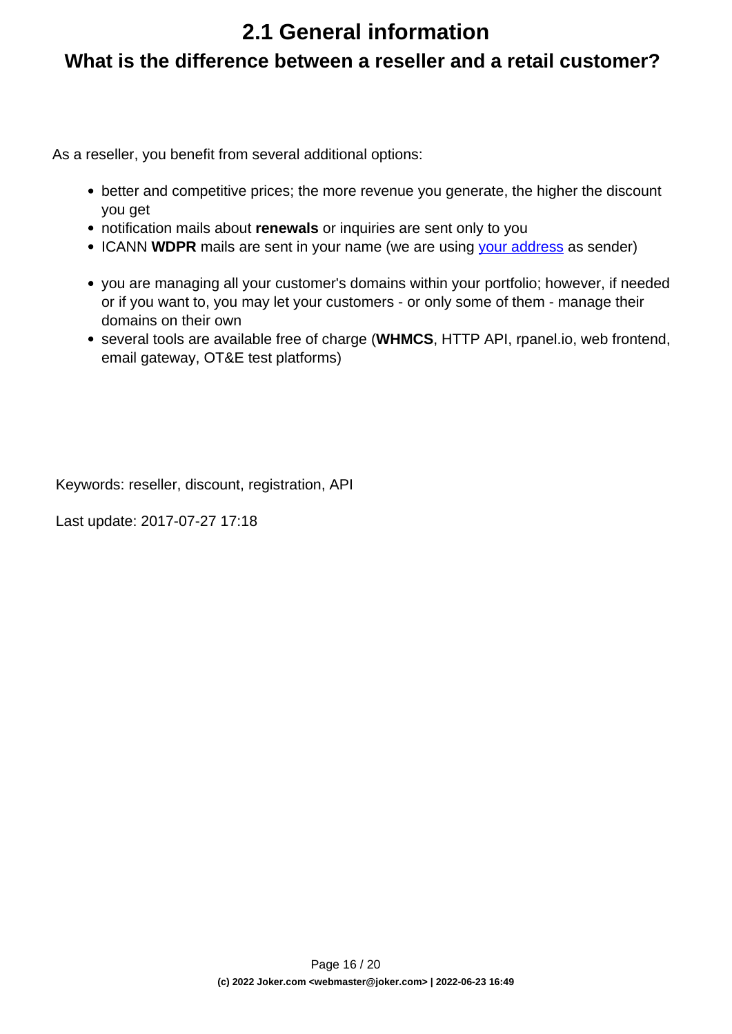#### <span id="page-15-0"></span>**What is the difference between a reseller and a retail customer?**

As a reseller, you benefit from several additional options:

- better and competitive prices; the more revenue you generate, the higher the discount you get
- notification mails about **renewals** or inquiries are sent only to you
- ICANN WDPR mails are sent in your name (we are using [your address](/goto/resprefs) as sender)
- you are managing all your customer's domains within your portfolio; however, if needed or if you want to, you may let your customers - or only some of them - manage their domains on their own
- several tools are available free of charge (**WHMCS**, HTTP API, rpanel.io, web frontend, email gateway, OT&E test platforms)

Keywords: reseller, discount, registration, API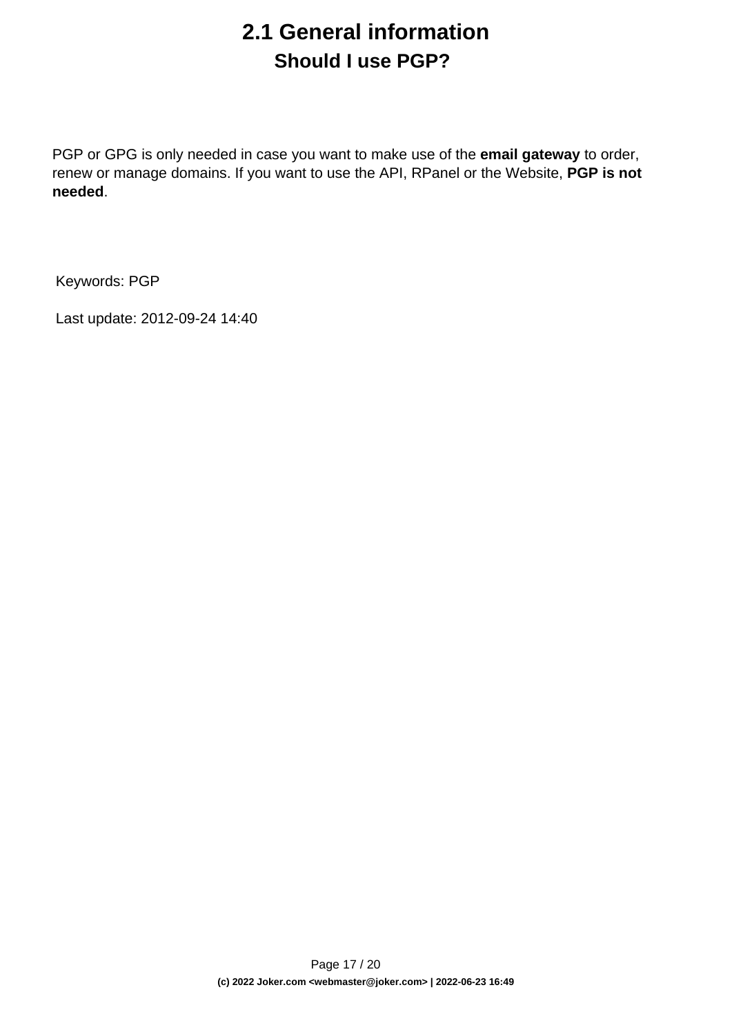## **2.1 General information Should I use PGP?**

<span id="page-16-0"></span>PGP or GPG is only needed in case you want to make use of the **email gateway** to order, renew or manage domains. If you want to use the API, RPanel or the Website, **PGP is not needed**.

Keywords: PGP

Last update: 2012-09-24 14:40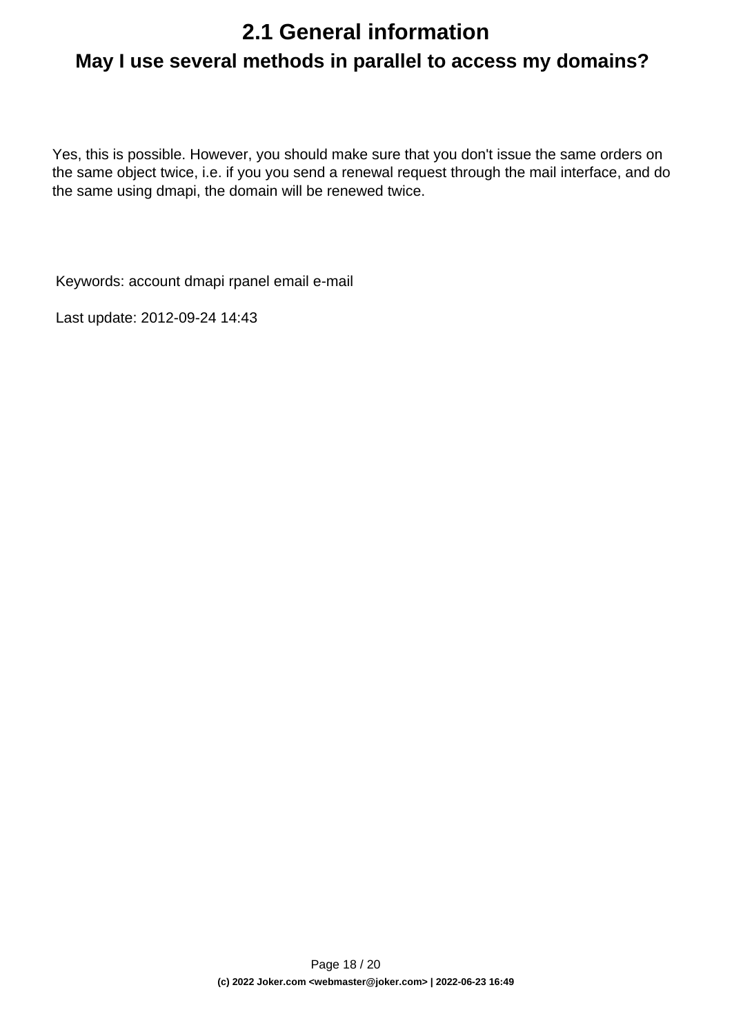## <span id="page-17-0"></span>**2.1 General information May I use several methods in parallel to access my domains?**

Yes, this is possible. However, you should make sure that you don't issue the same orders on the same object twice, i.e. if you you send a renewal request through the mail interface, and do the same using dmapi, the domain will be renewed twice.

Keywords: account dmapi rpanel email e-mail

Last update: 2012-09-24 14:43